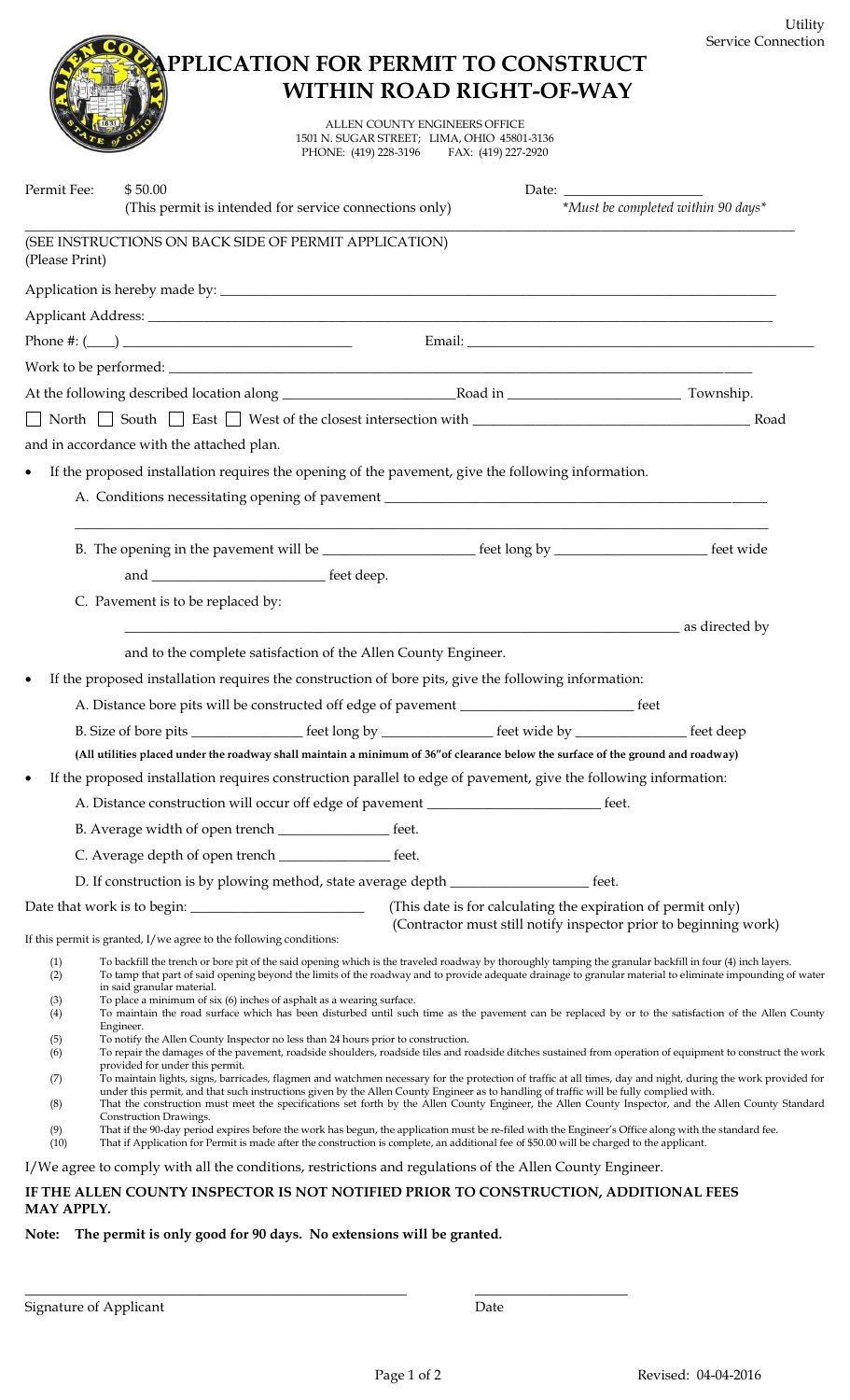

ALLEN COUNTY ENGINEERS OFFICE 1501 N. SUGAR STREET; LIMA, OHIO 45801-3136 PHONE: (419) 228-3196 FAX: (419) 227-2920

| Permit Fee:                                                         | \$50.00<br>(This permit is intended for service connections only)                                                                                                                                                                                                                                                                                                                                                                                                                                                                                                                                                                                                                                                                                                                                                                                                                                                                                                                                                                                                                                                                                                                                                                                                                                                                                                                                                                                                                                                                                                                                                                                                                           |       |                                                                                                                                  | *Must be completed within 90 days* |
|---------------------------------------------------------------------|---------------------------------------------------------------------------------------------------------------------------------------------------------------------------------------------------------------------------------------------------------------------------------------------------------------------------------------------------------------------------------------------------------------------------------------------------------------------------------------------------------------------------------------------------------------------------------------------------------------------------------------------------------------------------------------------------------------------------------------------------------------------------------------------------------------------------------------------------------------------------------------------------------------------------------------------------------------------------------------------------------------------------------------------------------------------------------------------------------------------------------------------------------------------------------------------------------------------------------------------------------------------------------------------------------------------------------------------------------------------------------------------------------------------------------------------------------------------------------------------------------------------------------------------------------------------------------------------------------------------------------------------------------------------------------------------|-------|----------------------------------------------------------------------------------------------------------------------------------|------------------------------------|
| (Please Print)                                                      | (SEE INSTRUCTIONS ON BACK SIDE OF PERMIT APPLICATION)                                                                                                                                                                                                                                                                                                                                                                                                                                                                                                                                                                                                                                                                                                                                                                                                                                                                                                                                                                                                                                                                                                                                                                                                                                                                                                                                                                                                                                                                                                                                                                                                                                       |       |                                                                                                                                  |                                    |
|                                                                     |                                                                                                                                                                                                                                                                                                                                                                                                                                                                                                                                                                                                                                                                                                                                                                                                                                                                                                                                                                                                                                                                                                                                                                                                                                                                                                                                                                                                                                                                                                                                                                                                                                                                                             |       |                                                                                                                                  |                                    |
|                                                                     |                                                                                                                                                                                                                                                                                                                                                                                                                                                                                                                                                                                                                                                                                                                                                                                                                                                                                                                                                                                                                                                                                                                                                                                                                                                                                                                                                                                                                                                                                                                                                                                                                                                                                             |       |                                                                                                                                  |                                    |
|                                                                     |                                                                                                                                                                                                                                                                                                                                                                                                                                                                                                                                                                                                                                                                                                                                                                                                                                                                                                                                                                                                                                                                                                                                                                                                                                                                                                                                                                                                                                                                                                                                                                                                                                                                                             |       |                                                                                                                                  |                                    |
|                                                                     |                                                                                                                                                                                                                                                                                                                                                                                                                                                                                                                                                                                                                                                                                                                                                                                                                                                                                                                                                                                                                                                                                                                                                                                                                                                                                                                                                                                                                                                                                                                                                                                                                                                                                             |       |                                                                                                                                  |                                    |
|                                                                     |                                                                                                                                                                                                                                                                                                                                                                                                                                                                                                                                                                                                                                                                                                                                                                                                                                                                                                                                                                                                                                                                                                                                                                                                                                                                                                                                                                                                                                                                                                                                                                                                                                                                                             |       |                                                                                                                                  |                                    |
|                                                                     |                                                                                                                                                                                                                                                                                                                                                                                                                                                                                                                                                                                                                                                                                                                                                                                                                                                                                                                                                                                                                                                                                                                                                                                                                                                                                                                                                                                                                                                                                                                                                                                                                                                                                             |       |                                                                                                                                  |                                    |
|                                                                     | and in accordance with the attached plan.                                                                                                                                                                                                                                                                                                                                                                                                                                                                                                                                                                                                                                                                                                                                                                                                                                                                                                                                                                                                                                                                                                                                                                                                                                                                                                                                                                                                                                                                                                                                                                                                                                                   |       |                                                                                                                                  |                                    |
| $\bullet$                                                           | If the proposed installation requires the opening of the pavement, give the following information.                                                                                                                                                                                                                                                                                                                                                                                                                                                                                                                                                                                                                                                                                                                                                                                                                                                                                                                                                                                                                                                                                                                                                                                                                                                                                                                                                                                                                                                                                                                                                                                          |       |                                                                                                                                  |                                    |
|                                                                     |                                                                                                                                                                                                                                                                                                                                                                                                                                                                                                                                                                                                                                                                                                                                                                                                                                                                                                                                                                                                                                                                                                                                                                                                                                                                                                                                                                                                                                                                                                                                                                                                                                                                                             |       |                                                                                                                                  |                                    |
|                                                                     | B. The opening in the pavement will be _______________________ feet long by _______________________ feet wide                                                                                                                                                                                                                                                                                                                                                                                                                                                                                                                                                                                                                                                                                                                                                                                                                                                                                                                                                                                                                                                                                                                                                                                                                                                                                                                                                                                                                                                                                                                                                                               |       |                                                                                                                                  |                                    |
|                                                                     |                                                                                                                                                                                                                                                                                                                                                                                                                                                                                                                                                                                                                                                                                                                                                                                                                                                                                                                                                                                                                                                                                                                                                                                                                                                                                                                                                                                                                                                                                                                                                                                                                                                                                             |       |                                                                                                                                  |                                    |
|                                                                     | C. Pavement is to be replaced by:                                                                                                                                                                                                                                                                                                                                                                                                                                                                                                                                                                                                                                                                                                                                                                                                                                                                                                                                                                                                                                                                                                                                                                                                                                                                                                                                                                                                                                                                                                                                                                                                                                                           |       |                                                                                                                                  |                                    |
| $\bullet$                                                           | and to the complete satisfaction of the Allen County Engineer.<br>If the proposed installation requires the construction of bore pits, give the following information:                                                                                                                                                                                                                                                                                                                                                                                                                                                                                                                                                                                                                                                                                                                                                                                                                                                                                                                                                                                                                                                                                                                                                                                                                                                                                                                                                                                                                                                                                                                      |       |                                                                                                                                  | as directed by                     |
|                                                                     |                                                                                                                                                                                                                                                                                                                                                                                                                                                                                                                                                                                                                                                                                                                                                                                                                                                                                                                                                                                                                                                                                                                                                                                                                                                                                                                                                                                                                                                                                                                                                                                                                                                                                             |       |                                                                                                                                  |                                    |
|                                                                     | B. Size of bore pits ________________ feet long by ______________ feet wide by _______________ feet deep                                                                                                                                                                                                                                                                                                                                                                                                                                                                                                                                                                                                                                                                                                                                                                                                                                                                                                                                                                                                                                                                                                                                                                                                                                                                                                                                                                                                                                                                                                                                                                                    |       |                                                                                                                                  |                                    |
|                                                                     | (All utilities placed under the roadway shall maintain a minimum of 36" of clearance below the surface of the ground and roadway)                                                                                                                                                                                                                                                                                                                                                                                                                                                                                                                                                                                                                                                                                                                                                                                                                                                                                                                                                                                                                                                                                                                                                                                                                                                                                                                                                                                                                                                                                                                                                           |       |                                                                                                                                  |                                    |
| $\bullet$                                                           | If the proposed installation requires construction parallel to edge of pavement, give the following information:                                                                                                                                                                                                                                                                                                                                                                                                                                                                                                                                                                                                                                                                                                                                                                                                                                                                                                                                                                                                                                                                                                                                                                                                                                                                                                                                                                                                                                                                                                                                                                            |       |                                                                                                                                  |                                    |
|                                                                     | A. Distance construction will occur off edge of pavement _______________________                                                                                                                                                                                                                                                                                                                                                                                                                                                                                                                                                                                                                                                                                                                                                                                                                                                                                                                                                                                                                                                                                                                                                                                                                                                                                                                                                                                                                                                                                                                                                                                                            |       | $_$ feet.                                                                                                                        |                                    |
|                                                                     | B. Average width of open trench _____________________ feet.                                                                                                                                                                                                                                                                                                                                                                                                                                                                                                                                                                                                                                                                                                                                                                                                                                                                                                                                                                                                                                                                                                                                                                                                                                                                                                                                                                                                                                                                                                                                                                                                                                 |       |                                                                                                                                  |                                    |
|                                                                     |                                                                                                                                                                                                                                                                                                                                                                                                                                                                                                                                                                                                                                                                                                                                                                                                                                                                                                                                                                                                                                                                                                                                                                                                                                                                                                                                                                                                                                                                                                                                                                                                                                                                                             | feet. |                                                                                                                                  |                                    |
|                                                                     | D. If construction is by plowing method, state average depth ___________________                                                                                                                                                                                                                                                                                                                                                                                                                                                                                                                                                                                                                                                                                                                                                                                                                                                                                                                                                                                                                                                                                                                                                                                                                                                                                                                                                                                                                                                                                                                                                                                                            |       | feet.                                                                                                                            |                                    |
|                                                                     | If this permit is granted, I/we agree to the following conditions:                                                                                                                                                                                                                                                                                                                                                                                                                                                                                                                                                                                                                                                                                                                                                                                                                                                                                                                                                                                                                                                                                                                                                                                                                                                                                                                                                                                                                                                                                                                                                                                                                          |       | (This date is for calculating the expiration of permit only)<br>(Contractor must still notify inspector prior to beginning work) |                                    |
| (1)<br>(2)<br>(3)<br>(4)<br>(5)<br>(6)<br>(7)<br>(8)<br>(9)<br>(10) | To backfill the trench or bore pit of the said opening which is the traveled roadway by thoroughly tamping the granular backfill in four (4) inch layers.<br>To tamp that part of said opening beyond the limits of the roadway and to provide adequate drainage to granular material to eliminate impounding of water<br>in said granular material.<br>To place a minimum of six (6) inches of asphalt as a wearing surface.<br>To maintain the road surface which has been disturbed until such time as the pavement can be replaced by or to the satisfaction of the Allen County<br>Engineer.<br>To notify the Allen County Inspector no less than 24 hours prior to construction.<br>To repair the damages of the pavement, roadside shoulders, roadside tiles and roadside ditches sustained from operation of equipment to construct the work<br>provided for under this permit.<br>To maintain lights, signs, barricades, flagmen and watchmen necessary for the protection of traffic at all times, day and night, during the work provided for<br>under this permit, and that such instructions given by the Allen County Engineer as to handling of traffic will be fully complied with.<br>That the construction must meet the specifications set forth by the Allen County Engineer, the Allen County Inspector, and the Allen County Standard<br>Construction Drawings.<br>That if the 90-day period expires before the work has begun, the application must be re-filed with the Engineer's Office along with the standard fee.<br>That if Application for Permit is made after the construction is complete, an additional fee of \$50.00 will be charged to the applicant. |       |                                                                                                                                  |                                    |
|                                                                     | I/We agree to comply with all the conditions, restrictions and regulations of the Allen County Engineer.<br>IF THE ALLEN COUNTY INSPECTOR IS NOT NOTIFIED PRIOR TO CONSTRUCTION. ADDITIONAL FEES                                                                                                                                                                                                                                                                                                                                                                                                                                                                                                                                                                                                                                                                                                                                                                                                                                                                                                                                                                                                                                                                                                                                                                                                                                                                                                                                                                                                                                                                                            |       |                                                                                                                                  |                                    |

**IF THE ALLEN COUNTY INSPECTOR IS NOT NOTIFIED PRIOR TO CONSTRUCTION, ADDITIONAL FEES MAY APPLY.**

\_\_\_\_\_\_\_\_\_\_\_\_\_\_\_\_\_\_\_\_\_\_\_\_\_\_\_\_\_\_\_\_\_\_\_\_\_\_\_\_\_\_\_\_\_\_\_\_\_\_ \_\_\_\_\_\_\_\_\_\_\_\_\_\_\_\_\_\_\_\_

**Note: The permit is only good for 90 days. No extensions will be granted.**